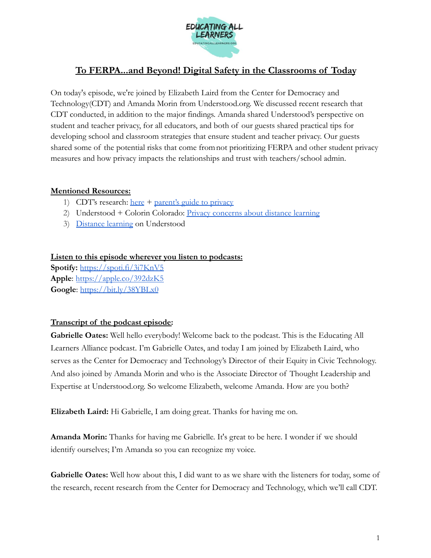

## **To FERPA...and Beyond! Digital Safety in the Classrooms of Today**

On today's episode, we're joined by Elizabeth Laird from the Center for Democracy and Technology(CDT) and Amanda Morin from Understood.org. We discussed recent research that CDT conducted, in addition to the major findings. Amanda shared Understood's perspective on student and teacher privacy, for all educators, and both of our guests shared practical tips for developing school and classroom strategies that ensure student and teacher privacy. Our guests shared some of the potential risks that come fromnot prioritizing FERPA and other student privacy measures and how privacy impacts the relationships and trust with teachers/school admin.

## **Mentioned Resources:**

- 1) CDT's research:  $here + parent's guide to privacy$  $here + parent's guide to privacy$  $here + parent's guide to privacy$
- 2) Understood + Colorin Colorado: [Privacy concerns about](https://www.understood.org/en/school-learning/for-educators/distance-learning/privacy-concerns-about-distance-learning) distance learning
- 3) [Distance learning](http://understood.org/pages/en/school-learning/for-educators/distance-learning/) on Understood

## **Listen to this episode wherever you listen to podcasts:**

**Spotify:** <https://spoti.fi/3i7KnV5> **Apple**: <https://apple.co/392dzK5> **Google**: <https://bit.ly/38YBLx0>

## **Transcript of the podcast episode:**

**Gabrielle Oates:** Well hello everybody! Welcome back to the podcast. This is the Educating All Learners Alliance podcast. I'm Gabrielle Oates, and today I am joined by Elizabeth Laird, who serves as the Center for Democracy and Technology's Director of their Equity in Civic Technology. And also joined by Amanda Morin and who is the Associate Director of Thought Leadership and Expertise at Understood.org. So welcome Elizabeth, welcome Amanda. How are you both?

**Elizabeth Laird:** Hi Gabrielle, I am doing great. Thanks for having me on.

**Amanda Morin:** Thanks for having me Gabrielle. It's great to be here. I wonder if we should identify ourselves; I'm Amanda so you can recognize my voice.

**Gabrielle Oates:** Well how about this, I did want to as we share with the listeners for today, some of the research, recent research from the Center for Democracy and Technology, which we'll call CDT.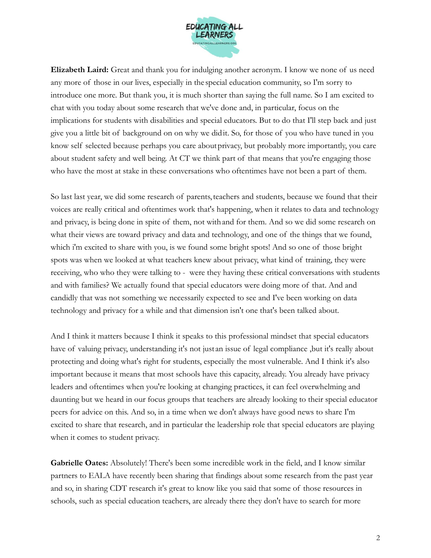

**Elizabeth Laird:** Great and thank you for indulging another acronym. I know we none of us need any more of those in our lives, especially in the special education community, so I'm sorry to introduce one more. But thank you, it is much shorter than saying the full name. So I am excited to chat with you today about some research that we've done and, in particular, focus on the implications for students with disabilities and special educators. But to do that I'll step back and just give you a little bit of background on on why we didit. So, for those of you who have tuned in you know self selected because perhaps you care aboutprivacy, but probably more importantly, you care about student safety and well being. At CT we think part of that means that you're engaging those who have the most at stake in these conversations who oftentimes have not been a part of them.

So last last year, we did some research of parents, teachers and students, because we found that their voices are really critical and oftentimes work that's happening, when it relates to data and technology and privacy, is being done in spite of them, not withand for them. And so we did some research on what their views are toward privacy and data and technology, and one of the things that we found, which i'm excited to share with you, is we found some bright spots! And so one of those bright spots was when we looked at what teachers knew about privacy, what kind of training, they were receiving, who who they were talking to - were they having these critical conversations with students and with families? We actually found that special educators were doing more of that. And and candidly that was not something we necessarily expected to see and I've been working on data technology and privacy for a while and that dimension isn't one that's been talked about.

And I think it matters because I think it speaks to this professional mindset that special educators have of valuing privacy, understanding it's not just an issue of legal compliance ,but it's really about protecting and doing what's right for students, especially the most vulnerable. And I think it's also important because it means that most schools have this capacity, already. You already have privacy leaders and oftentimes when you're looking at changing practices, it can feel overwhelming and daunting but we heard in our focus groups that teachers are already looking to their special educator peers for advice on this. And so, in a time when we don't always have good news to share I'm excited to share that research, and in particular the leadership role that special educators are playing when it comes to student privacy.

**Gabrielle Oates:** Absolutely! There's been some incredible work in the field, and I know similar partners to EALA have recently been sharing that findings about some research from the past year and so, in sharing CDT research it's great to know like you said that some of those resources in schools, such as special education teachers, are already there they don't have to search for more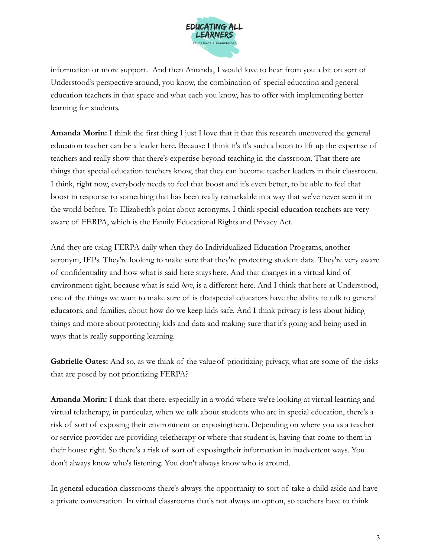

information or more support. And then Amanda, I would love to hear from you a bit on sort of Understood's perspective around, you know, the combination of special education and general education teachers in that space and what each you know, has to offer with implementing better learning for students.

**Amanda Morin:** I think the first thing I just I love that it that this research uncovered the general education teacher can be a leader here. Because I think it's it's such a boon to lift up the expertise of teachers and really show that there's expertise beyond teaching in the classroom. That there are things that special education teachers know, that they can become teacher leaders in their classroom. I think, right now, everybody needs to feel that boost and it's even better, to be able to feel that boost in response to something that has been really remarkable in a way that we've never seen it in the world before. To Elizabeth's point about acronyms, I think special education teachers are very aware of FERPA, which is the Family Educational Rights and Privacy Act.

And they are using FERPA daily when they do Individualized Education Programs, another acronym, IEPs. They're looking to make sure that they're protecting student data. They're very aware of confidentiality and how what is said here stayshere. And that changes in a virtual kind of environment right, because what is said *here*, is a different here. And I think that here at Understood, one of the things we want to make sure of is thatspecial educators have the ability to talk to general educators, and families, about how do we keep kids safe. And I think privacy is less about hiding things and more about protecting kids and data and making sure that it's going and being used in ways that is really supporting learning.

**Gabrielle Oates:** And so, as we think of the value of prioritizing privacy, what are some of the risks that are posed by not prioritizing FERPA?

**Amanda Morin:** I think that there, especially in a world where we're looking at virtual learning and virtual telatherapy, in particular, when we talk about students who are in special education, there's a risk of sort of exposing their environment or exposingthem. Depending on where you as a teacher or service provider are providing teletherapy or where that student is, having that come to them in their house right. So there's a risk of sort of exposingtheir information in inadvertent ways. You don't always know who's listening. You don't always know who is around.

In general education classrooms there's always the opportunity to sort of take a child aside and have a private conversation. In virtual classrooms that's not always an option, so teachers have to think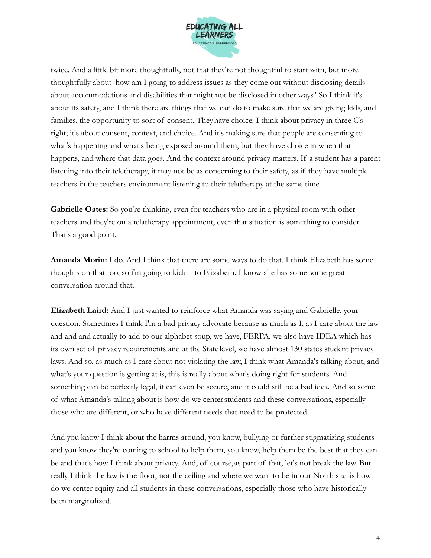

twice. And a little bit more thoughtfully, not that they're not thoughtful to start with, but more thoughtfully about 'how am I going to address issues as they come out without disclosing details about accommodations and disabilities that might not be disclosed in other ways.' So I think it's about its safety, and I think there are things that we can do to make sure that we are giving kids, and families, the opportunity to sort of consent. Theyhave choice. I think about privacy in three C's right; it's about consent, context, and choice. And it's making sure that people are consenting to what's happening and what's being exposed around them, but they have choice in when that happens, and where that data goes. And the context around privacy matters. If a student has a parent listening into their teletherapy, it may not be as concerning to their safety, as if they have multiple teachers in the teachers environment listening to their telatherapy at the same time.

**Gabrielle Oates:** So you're thinking, even for teachers who are in a physical room with other teachers and they're on a telatherapy appointment, even that situation is something to consider. That's a good point.

**Amanda Morin:** I do. And I think that there are some ways to do that. I think Elizabeth has some thoughts on that too, so i'm going to kick it to Elizabeth. I know she has some some great conversation around that.

**Elizabeth Laird:** And I just wanted to reinforce what Amanda was saying and Gabrielle, your question. Sometimes I think I'm a bad privacy advocate because as much as I, as I care about the law and and and actually to add to our alphabet soup, we have, FERPA, we also have IDEA which has its own set of privacy requirements and at the State level, we have almost 130 states student privacy laws. And so, as much as I care about not violating the law, I think what Amanda's talking about, and what's your question is getting at is, this is really about what's doing right for students. And something can be perfectly legal, it can even be secure, and it could still be a bad idea. And so some of what Amanda's talking about is how do we centerstudents and these conversations, especially those who are different, or who have different needs that need to be protected.

And you know I think about the harms around, you know, bullying or further stigmatizing students and you know they're coming to school to help them, you know, help them be the best that they can be and that's how I think about privacy. And, of course, as part of that, let's not break the law. But really I think the law is the floor, not the ceiling and where we want to be in our North star is how do we center equity and all students in these conversations, especially those who have historically been marginalized.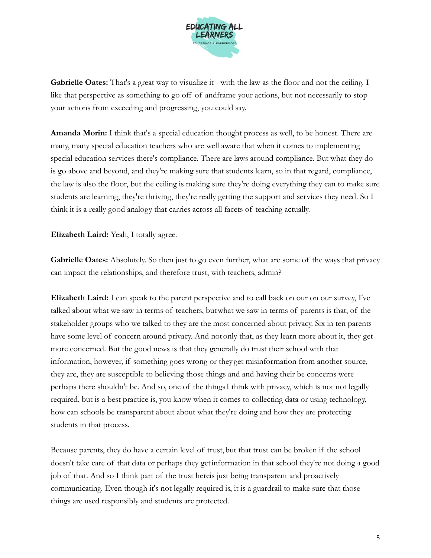

**Gabrielle Oates:** That's a great way to visualize it - with the law as the floor and not the ceiling. I like that perspective as something to go off of andframe your actions, but not necessarily to stop your actions from exceeding and progressing, you could say.

**Amanda Morin:** I think that's a special education thought process as well, to be honest. There are many, many special education teachers who are well aware that when it comes to implementing special education services there's compliance. There are laws around compliance. But what they do is go above and beyond, and they're making sure that students learn, so in that regard, compliance, the law is also the floor, but the ceiling is making sure they're doing everything they can to make sure students are learning, they're thriving, they're really getting the support and services they need. So I think it is a really good analogy that carries across all facets of teaching actually.

**Elizabeth Laird:** Yeah, I totally agree.

**Gabrielle Oates:** Absolutely. So then just to go even further, what are some of the ways that privacy can impact the relationships, and therefore trust, with teachers, admin?

**Elizabeth Laird:** I can speak to the parent perspective and to call back on our on our survey, I've talked about what we saw in terms of teachers, butwhat we saw in terms of parents is that, of the stakeholder groups who we talked to they are the most concerned about privacy. Six in ten parents have some level of concern around privacy. And notonly that, as they learn more about it, they get more concerned. But the good news is that they generally do trust their school with that information, however, if something goes wrong or they get misinformation from another source, they are, they are susceptible to believing those things and and having their be concerns were perhaps there shouldn't be. And so, one of the thingsI think with privacy, which is not not legally required, but is a best practice is, you know when it comes to collecting data or using technology, how can schools be transparent about about what they're doing and how they are protecting students in that process.

Because parents, they do have a certain level of trust,but that trust can be broken if the school doesn't take care of that data or perhaps they getinformation in that school they're not doing a good job of that. And so I think part of the trust hereis just being transparent and proactively communicating. Even though it's not legally required is, it is a guardrail to make sure that those things are used responsibly and students are protected.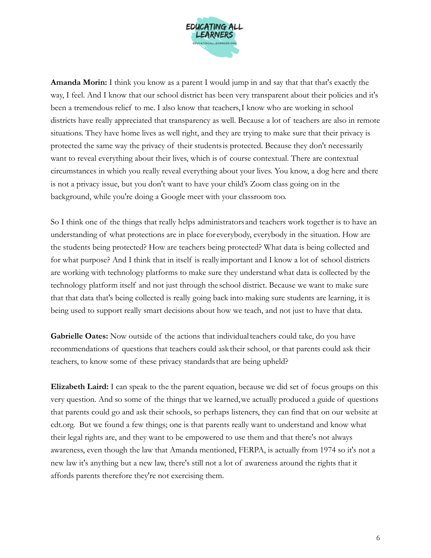

**Amanda Morin:** I think you know as a parent I would jump in and say that that that's exactly the way, I feel. And I know that our school district has been very transparent about their policies and it's been a tremendous relief to me. I also know that teachers,I know who are working in school districts have really appreciated that transparency as well. Because a lot of teachers are also in remote situations. They have home lives as well right, and they are trying to make sure that their privacy is protected the same way the privacy of their studentsis protected. Because they don't necessarily want to reveal everything about their lives, which is of course contextual. There are contextual circumstances in which you really reveal everything about your lives. You know, a dog here and there is not a privacy issue, but you don't want to have your child's Zoom class going on in the background, while you're doing a Google meet with your classroom too.

So I think one of the things that really helps administrators and teachers work together is to have an understanding of what protections are in place for everybody, everybody in the situation. How are the students being protected? How are teachers being protected? What data is being collected and for what purpose? And I think that in itself is really important and I know a lot of school districts are working with technology platforms to make sure they understand what data is collected by the technology platform itself and not just through the school district. Because we want to make sure that that data that's being collected is really going back into making sure students are learning, it is being used to support really smart decisions about how we teach, and not just to have that data.

**Gabrielle Oates:** Now outside of the actions that individual teachers could take, do you have recommendations of questions that teachers could ask their school, or that parents could ask their teachers, to know some of these privacy standards that are being upheld?

**Elizabeth Laird:** I can speak to the the parent equation, because we did set of focus groups on this very question. And so some of the things that we learned,we actually produced a guide of questions that parents could go and ask their schools, so perhaps listeners, they can find that on our website at cdt.org. But we found a few things; one is that parents really want to understand and know what their legal rights are, and they want to be empowered to use them and that there's not always awareness, even though the law that Amanda mentioned, FERPA, is actually from 1974 so it's not a new law it's anything but a new law, there's still not a lot of awareness around the rights that it affords parents therefore they're not exercising them.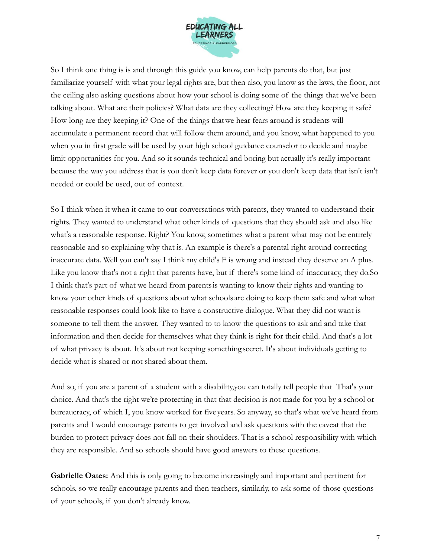

So I think one thing is is and through this guide you know, can help parents do that, but just familiarize yourself with what your legal rights are, but then also, you know as the laws, the floor, not the ceiling also asking questions about how your school is doing some of the things that we've been talking about. What are their policies? What data are they collecting? How are they keeping it safe? How long are they keeping it? One of the things thatwe hear fears around is students will accumulate a permanent record that will follow them around, and you know, what happened to you when you in first grade will be used by your high school guidance counselor to decide and maybe limit opportunities for you. And so it sounds technical and boring but actually it's really important because the way you address that is you don't keep data forever or you don't keep data that isn't isn't needed or could be used, out of context.

So I think when it when it came to our conversations with parents, they wanted to understand their rights. They wanted to understand what other kinds of questions that they should ask and also like what's a reasonable response. Right? You know, sometimes what a parent what may not be entirely reasonable and so explaining why that is. An example is there's a parental right around correcting inaccurate data. Well you can't say I think my child's F is wrong and instead they deserve an A plus. Like you know that's not a right that parents have, but if there's some kind of inaccuracy, they do.So I think that's part of what we heard from parentsis wanting to know their rights and wanting to know your other kinds of questions about what schools are doing to keep them safe and what what reasonable responses could look like to have a constructive dialogue. What they did not want is someone to tell them the answer. They wanted to to know the questions to ask and and take that information and then decide for themselves what they think is right for their child. And that's a lot of what privacy is about. It's about not keeping something secret. It's about individuals getting to decide what is shared or not shared about them.

And so, if you are a parent of a student with a disability,you can totally tell people that That's your choice. And that's the right we're protecting in that that decision is not made for you by a school or bureaucracy, of which I, you know worked for five years. So anyway, so that's what we've heard from parents and I would encourage parents to get involved and ask questions with the caveat that the burden to protect privacy does not fall on their shoulders. That is a school responsibility with which they are responsible. And so schools should have good answers to these questions.

**Gabrielle Oates:** And this is only going to become increasingly and important and pertinent for schools, so we really encourage parents and then teachers, similarly, to ask some of those questions of your schools, if you don't already know.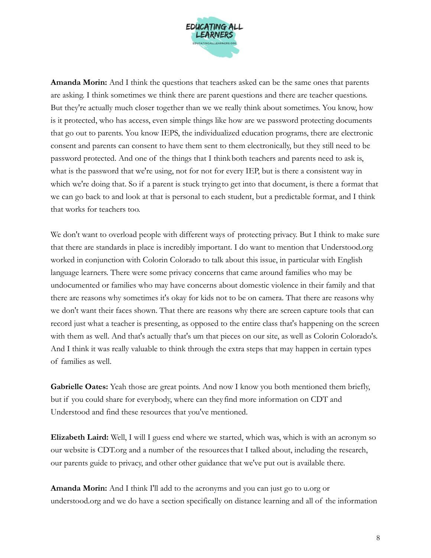

**Amanda Morin:** And I think the questions that teachers asked can be the same ones that parents are asking. I think sometimes we think there are parent questions and there are teacher questions. But they're actually much closer together than we we really think about sometimes. You know, how is it protected, who has access, even simple things like how are we password protecting documents that go out to parents. You know IEPS, the individualized education programs, there are electronic consent and parents can consent to have them sent to them electronically, but they still need to be password protected. And one of the things that I think both teachers and parents need to ask is, what is the password that we're using, not for not for every IEP, but is there a consistent way in which we're doing that. So if a parent is stuck trying to get into that document, is there a format that we can go back to and look at that is personal to each student, but a predictable format, and I think that works for teachers too.

We don't want to overload people with different ways of protecting privacy. But I think to make sure that there are standards in place is incredibly important. I do want to mention that Understood.org worked in conjunction with Colorin Colorado to talk about this issue, in particular with English language learners. There were some privacy concerns that came around families who may be undocumented or families who may have concerns about domestic violence in their family and that there are reasons why sometimes it's okay for kids not to be on camera. That there are reasons why we don't want their faces shown. That there are reasons why there are screen capture tools that can record just what a teacher is presenting, as opposed to the entire class that's happening on the screen with them as well. And that's actually that's um that pieces on our site, as well as Colorin Colorado's. And I think it was really valuable to think through the extra steps that may happen in certain types of families as well.

Gabrielle Oates: Yeah those are great points. And now I know you both mentioned them briefly, but if you could share for everybody, where can they find more information on CDT and Understood and find these resources that you've mentioned.

**Elizabeth Laird:** Well, I will I guess end where we started, which was, which is with an acronym so our website is CDT.org and a number of the resourcesthat I talked about, including the research, our parents guide to privacy, and other other guidance that we've put out is available there.

**Amanda Morin:** And I think I'll add to the acronyms and you can just go to u.org or understood.org and we do have a section specifically on distance learning and all of the information